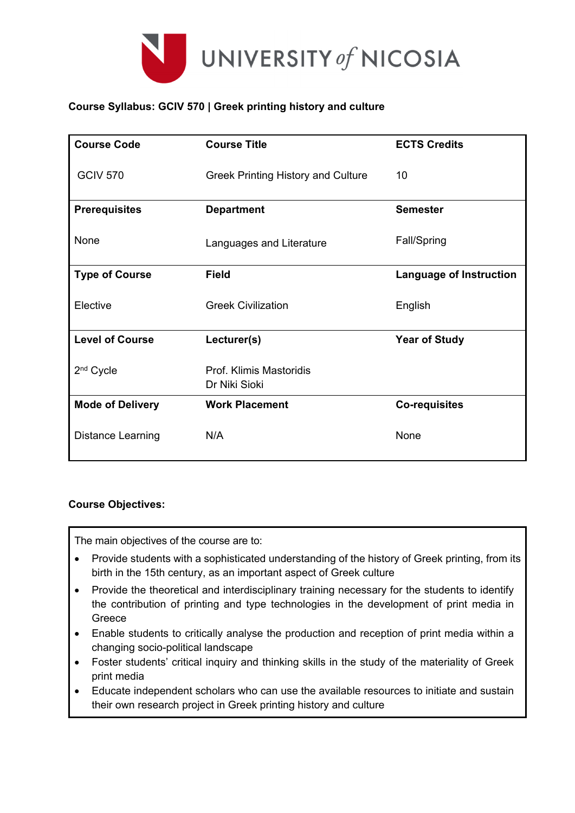

## **Course Syllabus: GCIV 570 | Greek printing history and culture**

| <b>Course Code</b>       | <b>Course Title</b>                       | <b>ECTS Credits</b>            |
|--------------------------|-------------------------------------------|--------------------------------|
| <b>GCIV 570</b>          | <b>Greek Printing History and Culture</b> | 10                             |
| <b>Prerequisites</b>     | <b>Department</b>                         | <b>Semester</b>                |
| None                     | Languages and Literature                  | Fall/Spring                    |
| <b>Type of Course</b>    | <b>Field</b>                              | <b>Language of Instruction</b> |
| Elective                 | <b>Greek Civilization</b>                 | English                        |
| <b>Level of Course</b>   | Lecturer(s)                               | <b>Year of Study</b>           |
| 2 <sup>nd</sup> Cycle    | Prof. Klimis Mastoridis<br>Dr Niki Sioki  |                                |
| <b>Mode of Delivery</b>  | <b>Work Placement</b>                     | <b>Co-requisites</b>           |
| <b>Distance Learning</b> | N/A                                       | None                           |

## **Course Objectives:**

The main objectives of the course are to:

- Provide students with a sophisticated understanding of the history of Greek printing, from its birth in the 15th century, as an important aspect of Greek culture
- Provide the theoretical and interdisciplinary training necessary for the students to identify the contribution of printing and type technologies in the development of print media in Greece
- Enable students to critically analyse the production and reception of print media within a changing socio-political landscape
- Foster students' critical inquiry and thinking skills in the study of the materiality of Greek print media
- Educate independent scholars who can use the available resources to initiate and sustain their own research project in Greek printing history and culture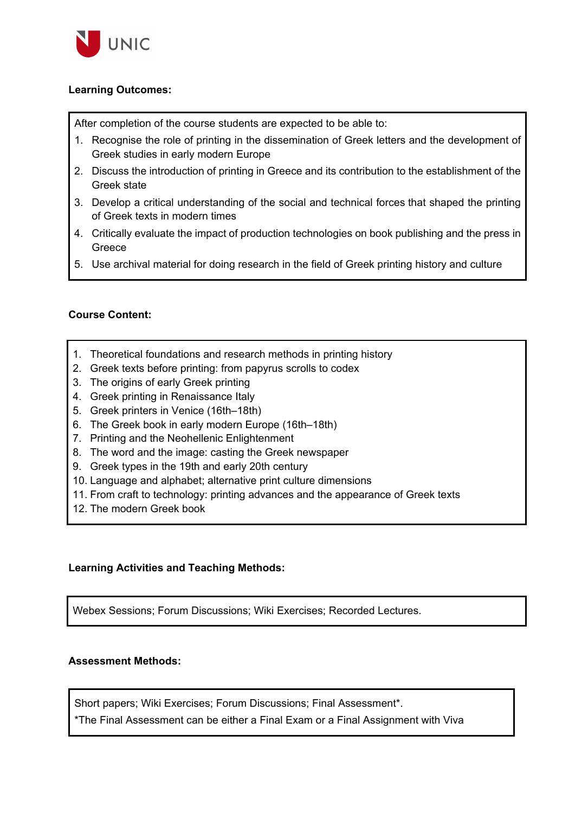

### **Learning Outcomes:**

After completion of the course students are expected to be able to:

- 1. Recognise the role of printing in the dissemination of Greek letters and the development of Greek studies in early modern Europe
- 2. Discuss the introduction of printing in Greece and its contribution to the establishment of the Greek state
- 3. Develop a critical understanding of the social and technical forces that shaped the printing of Greek texts in modern times
- 4. Critically evaluate the impact of production technologies on book publishing and the press in Greece
- 5. Use archival material for doing research in the field of Greek printing history and culture

### **Course Content:**

- 1. Theoretical foundations and research methods in printing history
- 2. Greek texts before printing: from papyrus scrolls to codex
- 3. The origins of early Greek printing
- 4. Greek printing in Renaissance Italy
- 5. Greek printers in Venice (16th–18th)
- 6. The Greek book in early modern Europe (16th–18th)
- 7. Printing and the Neohellenic Enlightenment
- 8. The word and the image: casting the Greek newspaper
- 9. Greek types in the 19th and early 20th century
- 10. Language and alphabet; alternative print culture dimensions
- 11. From craft to technology: printing advances and the appearance of Greek texts
- 12. The modern Greek book

#### **Learning Activities and Teaching Methods:**

Webex Sessions; Forum Discussions; Wiki Exercises; Recorded Lectures.

## **Assessment Methods:**

Short papers; Wiki Exercises; Forum Discussions; Final Assessment\*.

\*The Final Assessment can be either a Final Exam or a Final Assignment with Viva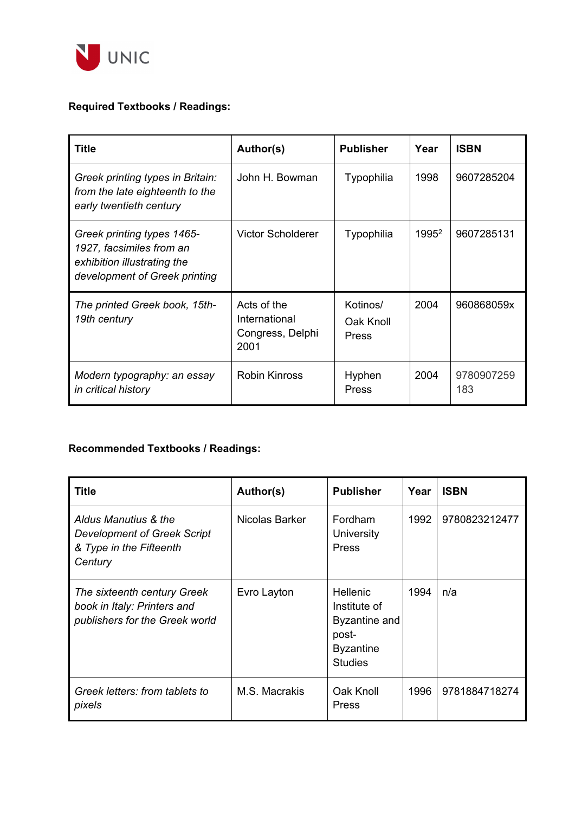

# **Required Textbooks / Readings:**

| Title                                                                                                                  | Author(s)                                                | <b>Publisher</b>               | Year              | <b>ISBN</b>       |
|------------------------------------------------------------------------------------------------------------------------|----------------------------------------------------------|--------------------------------|-------------------|-------------------|
| Greek printing types in Britain:<br>from the late eighteenth to the<br>early twentieth century                         | John H. Bowman                                           | Typophilia                     | 1998              | 9607285204        |
| Greek printing types 1465-<br>1927, facsimiles from an<br>exhibition illustrating the<br>development of Greek printing | <b>Victor Scholderer</b>                                 | Typophilia                     | 1995 <sup>2</sup> | 9607285131        |
| The printed Greek book, 15th-<br>19th century                                                                          | Acts of the<br>International<br>Congress, Delphi<br>2001 | Kotinos/<br>Oak Knoll<br>Press | 2004              | 960868059x        |
| Modern typography: an essay<br>in critical history                                                                     | <b>Robin Kinross</b>                                     | Hyphen<br>Press                | 2004              | 9780907259<br>183 |

# **Recommended Textbooks / Readings:**

| <b>Title</b>                                                                                     | Author(s)      | <b>Publisher</b>                                                                                | Year | <b>ISBN</b>   |
|--------------------------------------------------------------------------------------------------|----------------|-------------------------------------------------------------------------------------------------|------|---------------|
| Aldus Manutius & the<br><b>Development of Greek Script</b><br>& Type in the Fifteenth<br>Century | Nicolas Barker | Fordham<br>University<br>Press                                                                  | 1992 | 9780823212477 |
| The sixteenth century Greek<br>book in Italy: Printers and<br>publishers for the Greek world     | Evro Layton    | <b>Hellenic</b><br>Institute of<br>Byzantine and<br>post-<br><b>Byzantine</b><br><b>Studies</b> | 1994 | n/a           |
| Greek letters: from tablets to<br>pixels                                                         | M.S. Macrakis  | Oak Knoll<br>Press                                                                              | 1996 | 9781884718274 |